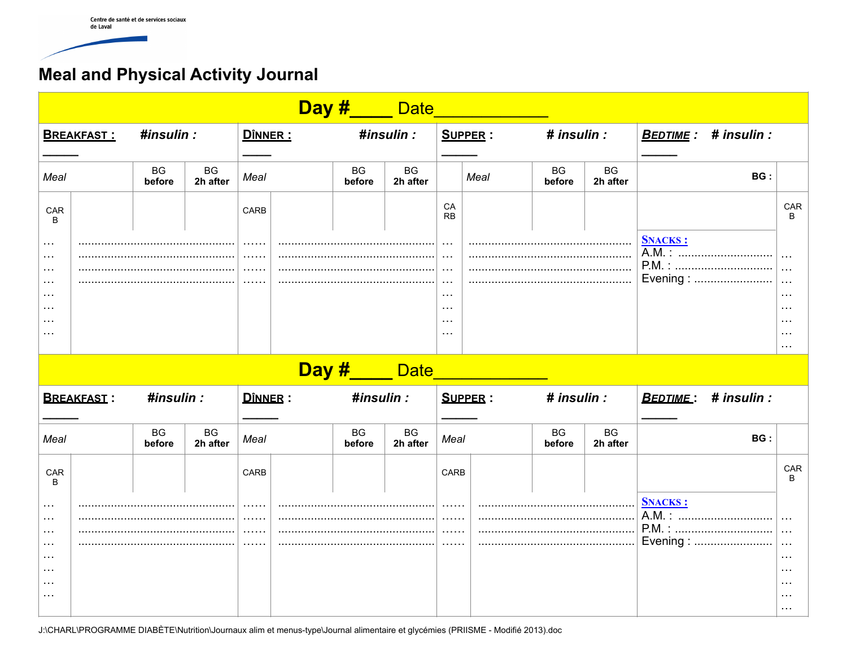## **Meal and Physical Activity Journal**

| Day #____ Date                                                                                                                                      |  |                     |                       |                  |  |                     |                             |                                                                                                    |                |                     |                |                    |                                                                                   |                                                                                                 |
|-----------------------------------------------------------------------------------------------------------------------------------------------------|--|---------------------|-----------------------|------------------|--|---------------------|-----------------------------|----------------------------------------------------------------------------------------------------|----------------|---------------------|----------------|--------------------|-----------------------------------------------------------------------------------|-------------------------------------------------------------------------------------------------|
| <b>BREAKFAST:</b>                                                                                                                                   |  | #insulin :          |                       | DÎNNER :         |  | #insulin :          |                             | <b>SUPPER:</b>                                                                                     |                | # insulin :         |                |                    | <b>BEDTIME:</b> # insulin :                                                       |                                                                                                 |
| Meal                                                                                                                                                |  | <b>BG</b><br>before | <b>BG</b><br>2h after |                  |  | <b>BG</b><br>before | BG<br>2h after              |                                                                                                    | Meal           | BG<br>before        | BG<br>2h after |                    | BG:                                                                               |                                                                                                 |
| CAR<br>B                                                                                                                                            |  |                     |                       | CARB             |  |                     |                             | CA<br><b>RB</b>                                                                                    |                |                     |                |                    |                                                                                   | CAR<br>в                                                                                        |
| $\sim$ $\sim$ $\sim$<br>$\sim 100$<br>$\sim$ $\sim$ $\sim$<br>$\cdots$<br>$\cdots$<br>$\cdots$<br>$\cdots$<br>$\ldots$                              |  |                     |                       | 1.1.1.1          |  |                     |                             | $\ddotsc$<br>$\cdots$<br>$\cdots$<br>$\sim$ $\sim$ $\sim$<br>$\sim$ $\sim$<br>$\sim$ $\sim$ $\sim$ |                |                     |                | <b>SNACKS:</b>     | A.M. :<br>Evening :                                                               | $\ddotsc$<br>$\ddotsc$<br>$\ddotsc$<br>$\cdots$<br>$\cdots$<br>$\cdots$<br>$\cdots$<br>$\cdots$ |
|                                                                                                                                                     |  |                     |                       |                  |  |                     | Day #____ Date_             |                                                                                                    |                |                     |                |                    |                                                                                   |                                                                                                 |
| <b>BREAKFAST:</b>                                                                                                                                   |  | #insulin :          |                       | <b>D</b> ÎNNER : |  | #insulin :          |                             |                                                                                                    | <b>SUPPER:</b> | # insulin :         |                | BEDTIME:           | # insulin :                                                                       |                                                                                                 |
| Meal                                                                                                                                                |  | <b>BG</b><br>before | <b>BG</b><br>2h after | Meal             |  | <b>BG</b><br>before | <b>BG</b><br>2h after       | Meal                                                                                               |                | <b>BG</b><br>before | BG<br>2h after |                    | BG:                                                                               |                                                                                                 |
| CAR<br>B                                                                                                                                            |  |                     |                       | CARB             |  |                     |                             | CARB                                                                                               |                |                     |                |                    |                                                                                   | CAR                                                                                             |
| $\sim$ $\sim$ $\sim$<br>$\sim 100$<br>$\sim$ $\sim$ $\sim$<br>$\sim$ $\sim$ $\sim$<br>$\sim$ $\sim$ $\sim$<br>$\cdots$<br>$\cdots$<br>$\sim$ $\sim$ |  |                     | 1.1.1.1               |                  |  |                     | 1.1.1.1.1<br>.<br>1.1.1.1.1 |                                                                                                    |                |                     | <b>SNACKS:</b> | A.M.:<br>Evening : | $\ldots$<br>$\ddotsc$<br>$\ldots$<br>$\cdots$<br>$\cdots$<br>$\cdots$<br>$\cdots$ |                                                                                                 |

J:\CHARL\PROGRAMME DIABÈTE\Nutrition\Journaux alim et menus-type\Journal alimentaire et glycémies (PRIISME - Modifié 2013).doc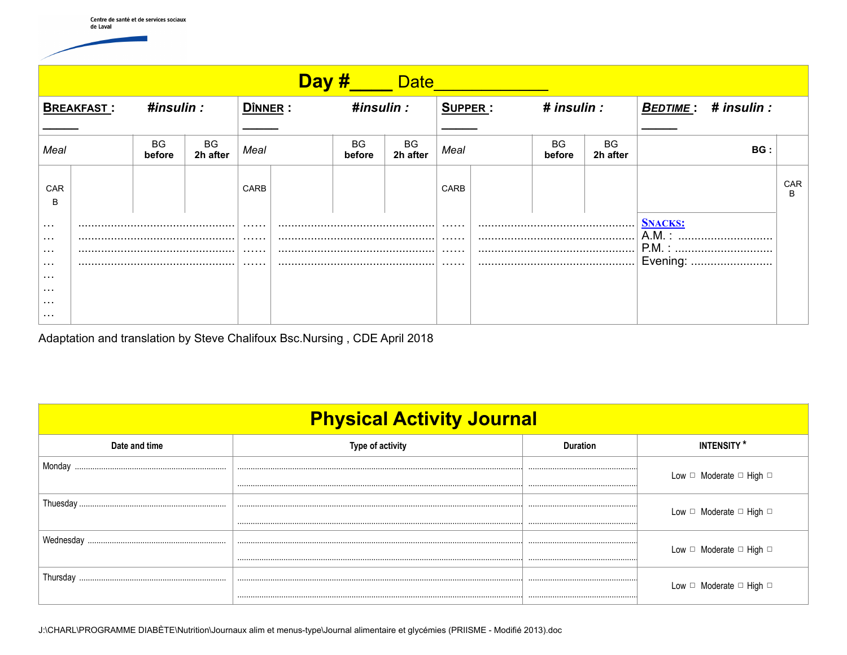| <b>Example Date</b><br><u>Day #_</u> |  |                     |                |      |            |                     |                |      |             |                                         |                            |     |          |
|--------------------------------------|--|---------------------|----------------|------|------------|---------------------|----------------|------|-------------|-----------------------------------------|----------------------------|-----|----------|
| #insulin :<br><b>BREAKFAST:</b>      |  |                     | DÎNNER :       |      | #insulin : |                     | SUPPER :       |      | # insulin : |                                         | <b>BEDTIME: # insulin:</b> |     |          |
| Meal                                 |  | <b>BG</b><br>before | BG<br>2h after | Meal |            | <b>BG</b><br>before | BG<br>2h after | Meal |             | <b>BG</b><br>before                     | BG<br>2h after             | BG: |          |
| <b>CAR</b><br>B                      |  |                     |                | CARB |            |                     |                | CARB |             |                                         |                            |     | CAR<br>B |
| $\cdots$<br>$\cdots$<br>$\sim 100$   |  |                     | .<br>.         |      |            | .<br>.<br>.         |                |      |             | <b>SNACKS:</b><br>$A.M.$ :<br><br>P.M.: |                            |     |          |
| $\cdots$<br>$\cdots$                 |  |                     |                | .    |            |                     |                | .    |             |                                         | Evening:                   |     |          |
| $\cdots$<br>$\cdots$<br>$\cdots$     |  |                     |                |      |            |                     |                |      |             |                                         |                            |     |          |

Adaptation and translation by Steve Chalifoux Bsc. Nursing, CDE April 2018

| <b>Physical Activity Journal</b> |                         |                 |                                        |  |  |  |  |  |  |
|----------------------------------|-------------------------|-----------------|----------------------------------------|--|--|--|--|--|--|
| Date and time                    | <b>Type of activity</b> | <b>Duration</b> | <b>INTENSITY*</b>                      |  |  |  |  |  |  |
| Monday                           |                         |                 | Low $\Box$ Moderate $\Box$ High $\Box$ |  |  |  |  |  |  |
|                                  |                         |                 |                                        |  |  |  |  |  |  |
|                                  |                         |                 | Low $\Box$ Moderate $\Box$ High $\Box$ |  |  |  |  |  |  |
| Wednesday                        |                         |                 | Low □ Moderate □ High □                |  |  |  |  |  |  |
|                                  |                         |                 |                                        |  |  |  |  |  |  |
| I hursday                        |                         |                 | Low $\Box$ Moderate $\Box$ High $\Box$ |  |  |  |  |  |  |
|                                  |                         |                 |                                        |  |  |  |  |  |  |